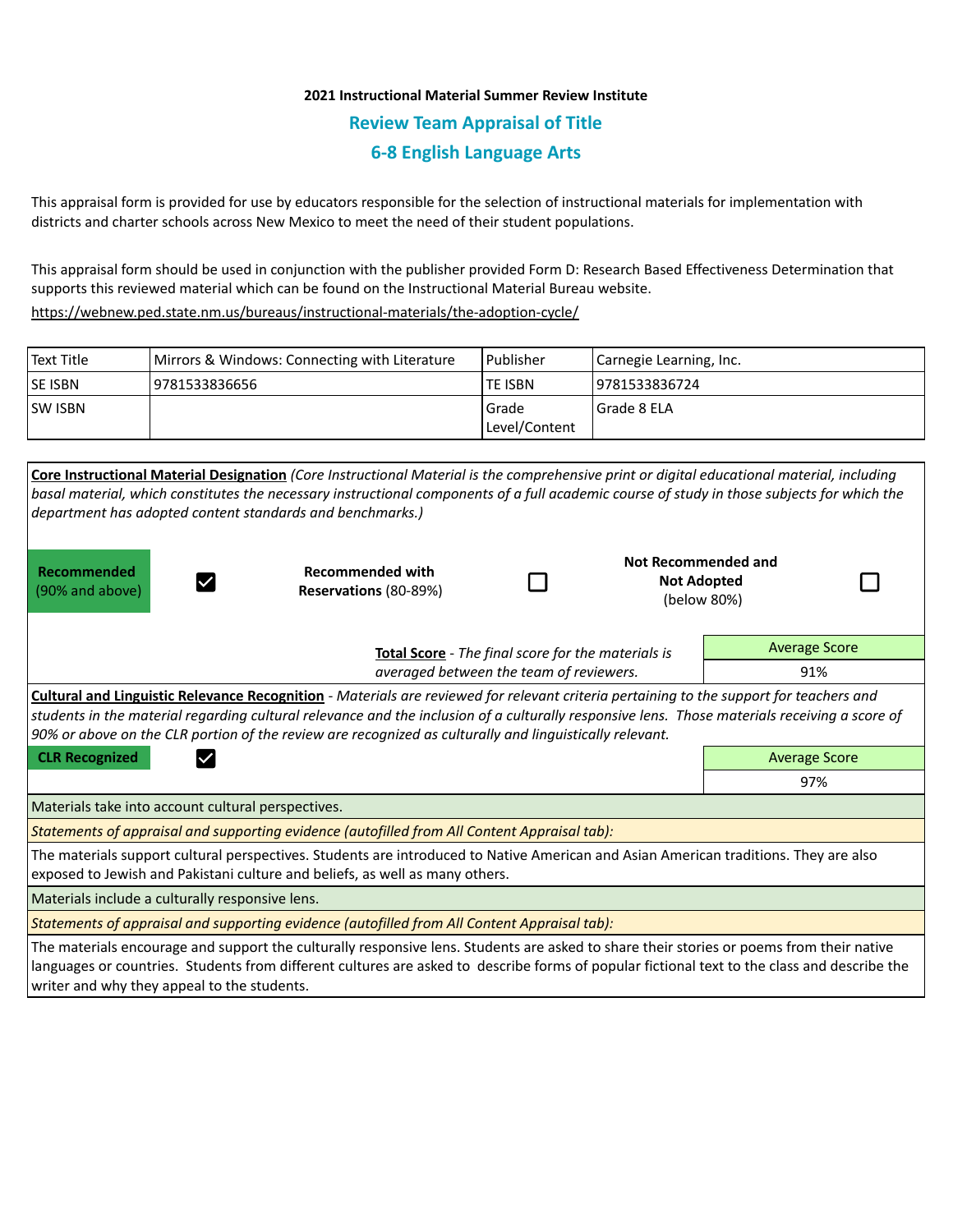# **2021 Instructional Material Summer Review Institute Review Team Appraisal of Title 6-8 English Language Arts**

This appraisal form is provided for use by educators responsible for the selection of instructional materials for implementation with districts and charter schools across New Mexico to meet the need of their student populations.

This appraisal form should be used in conjunction with the publisher provided Form D: Research Based Effectiveness Determination that supports this reviewed material which can be found on the Instructional Material Bureau website.

<https://webnew.ped.state.nm.us/bureaus/instructional-materials/the-adoption-cycle/>

| Text Title     | Mirrors & Windows: Connecting with Literature | Publisher                | Carnegie Learning, Inc. |  |
|----------------|-----------------------------------------------|--------------------------|-------------------------|--|
| <b>SE ISBN</b> | 9781533836656                                 | lte ISBN                 | 19781533836724          |  |
| <b>SW ISBN</b> |                                               | l Grade<br>Level/Content | l Grade 8 ELA           |  |

| Core Instructional Material Designation (Core Instructional Material is the comprehensive print or digital educational material, including<br>basal material, which constitutes the necessary instructional components of a full academic course of study in those subjects for which the<br>department has adopted content standards and benchmarks.)                                                                                               |                                                  |     |  |                                                          |  |  |  |  |  |
|------------------------------------------------------------------------------------------------------------------------------------------------------------------------------------------------------------------------------------------------------------------------------------------------------------------------------------------------------------------------------------------------------------------------------------------------------|--------------------------------------------------|-----|--|----------------------------------------------------------|--|--|--|--|--|
| <b>Recommended</b><br>(90% and above)                                                                                                                                                                                                                                                                                                                                                                                                                | <b>Recommended with</b><br>Reservations (80-89%) |     |  | Not Recommended and<br><b>Not Adopted</b><br>(below 80%) |  |  |  |  |  |
|                                                                                                                                                                                                                                                                                                                                                                                                                                                      | <b>Average Score</b>                             |     |  |                                                          |  |  |  |  |  |
|                                                                                                                                                                                                                                                                                                                                                                                                                                                      | averaged between the team of reviewers.          | 91% |  |                                                          |  |  |  |  |  |
| Cultural and Linguistic Relevance Recognition - Materials are reviewed for relevant criteria pertaining to the support for teachers and<br>students in the material regarding cultural relevance and the inclusion of a culturally responsive lens. Those materials receiving a score of<br>90% or above on the CLR portion of the review are recognized as culturally and linguistically relevant.<br><b>CLR Recognized</b><br><b>Average Score</b> |                                                  |     |  |                                                          |  |  |  |  |  |
|                                                                                                                                                                                                                                                                                                                                                                                                                                                      | 97%                                              |     |  |                                                          |  |  |  |  |  |
| Materials take into account cultural perspectives.                                                                                                                                                                                                                                                                                                                                                                                                   |                                                  |     |  |                                                          |  |  |  |  |  |
| Statements of appraisal and supporting evidence (autofilled from All Content Appraisal tab):                                                                                                                                                                                                                                                                                                                                                         |                                                  |     |  |                                                          |  |  |  |  |  |
| The materials support cultural perspectives. Students are introduced to Native American and Asian American traditions. They are also<br>exposed to Jewish and Pakistani culture and beliefs, as well as many others.                                                                                                                                                                                                                                 |                                                  |     |  |                                                          |  |  |  |  |  |
| Materials include a culturally responsive lens.                                                                                                                                                                                                                                                                                                                                                                                                      |                                                  |     |  |                                                          |  |  |  |  |  |
| Statements of appraisal and supporting evidence (autofilled from All Content Appraisal tab):                                                                                                                                                                                                                                                                                                                                                         |                                                  |     |  |                                                          |  |  |  |  |  |
| The materials encourage and support the culturally responsive lens. Students are asked to share their stories or poems from their native<br>languages or countries. Students from different cultures are asked to describe forms of popular fictional text to the class and describe the<br>writer and why they appeal to the students.                                                                                                              |                                                  |     |  |                                                          |  |  |  |  |  |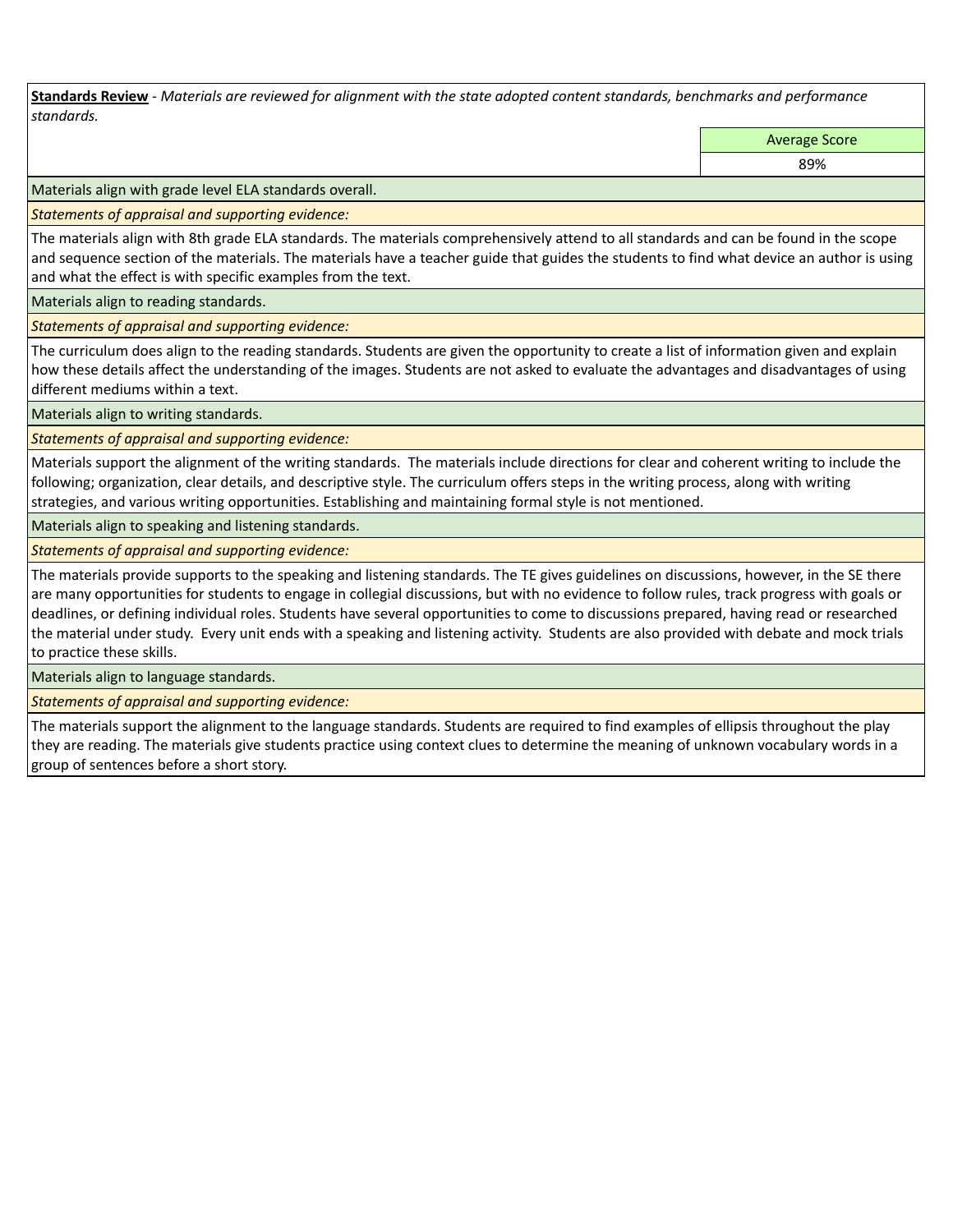**Standards Review** *- Materials are reviewed for alignment with the state adopted content standards, benchmarks and performance standards.*

Average Score

89%

Materials align with grade level ELA standards overall.

*Statements of appraisal and supporting evidence:* 

The materials align with 8th grade ELA standards. The materials comprehensively attend to all standards and can be found in the scope and sequence section of the materials. The materials have a teacher guide that guides the students to find what device an author is using and what the effect is with specific examples from the text.

Materials align to reading standards.

*Statements of appraisal and supporting evidence:* 

The curriculum does align to the reading standards. Students are given the opportunity to create a list of information given and explain how these details affect the understanding of the images. Students are not asked to evaluate the advantages and disadvantages of using different mediums within a text.

Materials align to writing standards.

*Statements of appraisal and supporting evidence:* 

Materials support the alignment of the writing standards. The materials include directions for clear and coherent writing to include the following; organization, clear details, and descriptive style. The curriculum offers steps in the writing process, along with writing strategies, and various writing opportunities. Establishing and maintaining formal style is not mentioned.

Materials align to speaking and listening standards.

*Statements of appraisal and supporting evidence:* 

The materials provide supports to the speaking and listening standards. The TE gives guidelines on discussions, however, in the SE there are many opportunities for students to engage in collegial discussions, but with no evidence to follow rules, track progress with goals or deadlines, or defining individual roles. Students have several opportunities to come to discussions prepared, having read or researched the material under study. Every unit ends with a speaking and listening activity. Students are also provided with debate and mock trials to practice these skills.

Materials align to language standards.

*Statements of appraisal and supporting evidence:* 

The materials support the alignment to the language standards. Students are required to find examples of ellipsis throughout the play they are reading. The materials give students practice using context clues to determine the meaning of unknown vocabulary words in a group of sentences before a short story.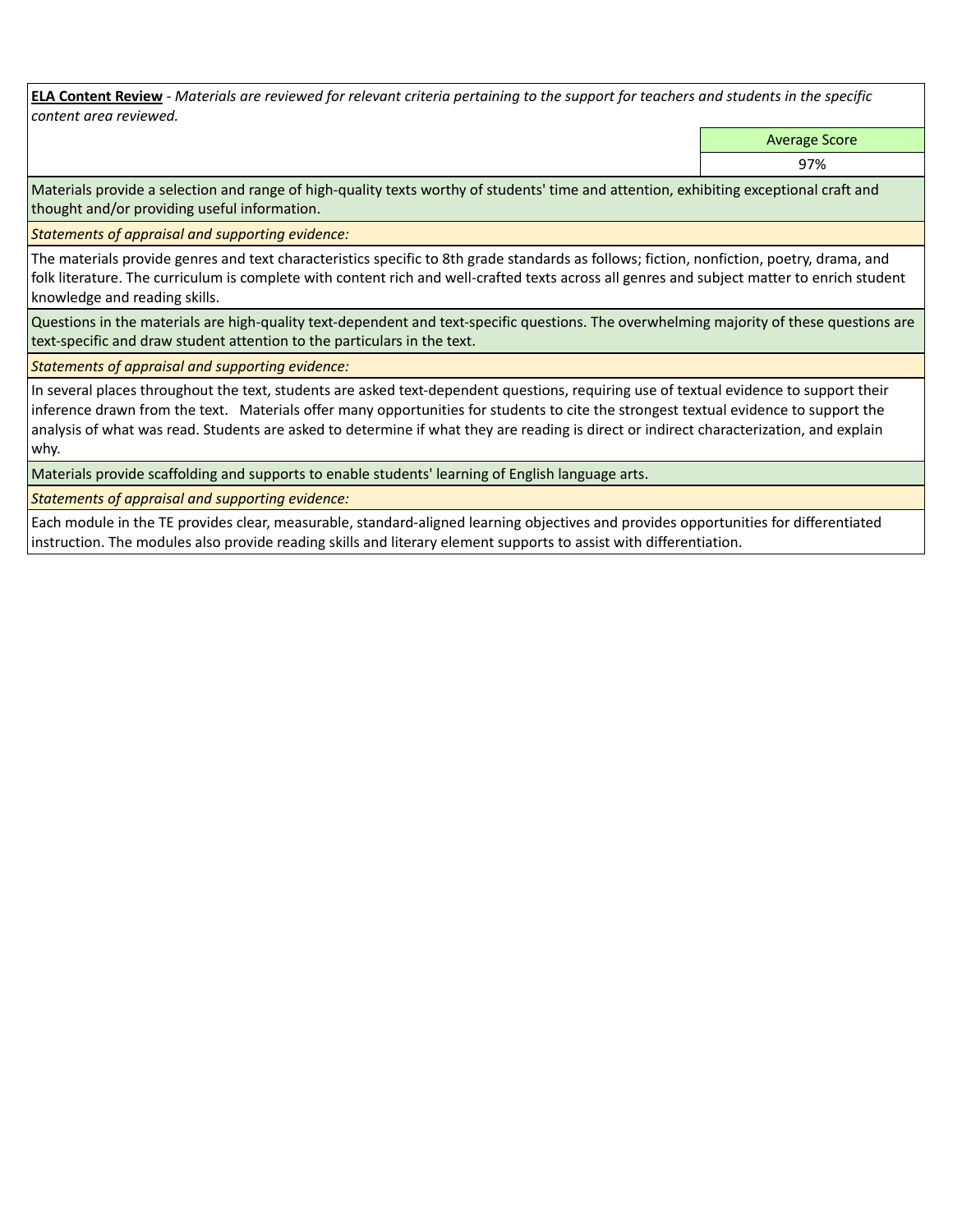**ELA Content Review** *- Materials are reviewed for relevant criteria pertaining to the support for teachers and students in the specific content area reviewed.*

Average Score

97%

Materials provide a selection and range of high-quality texts worthy of students' time and attention, exhibiting exceptional craft and thought and/or providing useful information.

*Statements of appraisal and supporting evidence:* 

The materials provide genres and text characteristics specific to 8th grade standards as follows; fiction, nonfiction, poetry, drama, and folk literature. The curriculum is complete with content rich and well-crafted texts across all genres and subject matter to enrich student knowledge and reading skills.

Questions in the materials are high-quality text-dependent and text-specific questions. The overwhelming majority of these questions are text-specific and draw student attention to the particulars in the text.

*Statements of appraisal and supporting evidence:* 

In several places throughout the text, students are asked text-dependent questions, requiring use of textual evidence to support their inference drawn from the text. Materials offer many opportunities for students to cite the strongest textual evidence to support the analysis of what was read. Students are asked to determine if what they are reading is direct or indirect characterization, and explain why.

Materials provide scaffolding and supports to enable students' learning of English language arts.

*Statements of appraisal and supporting evidence:* 

Each module in the TE provides clear, measurable, standard-aligned learning objectives and provides opportunities for differentiated instruction. The modules also provide reading skills and literary element supports to assist with differentiation.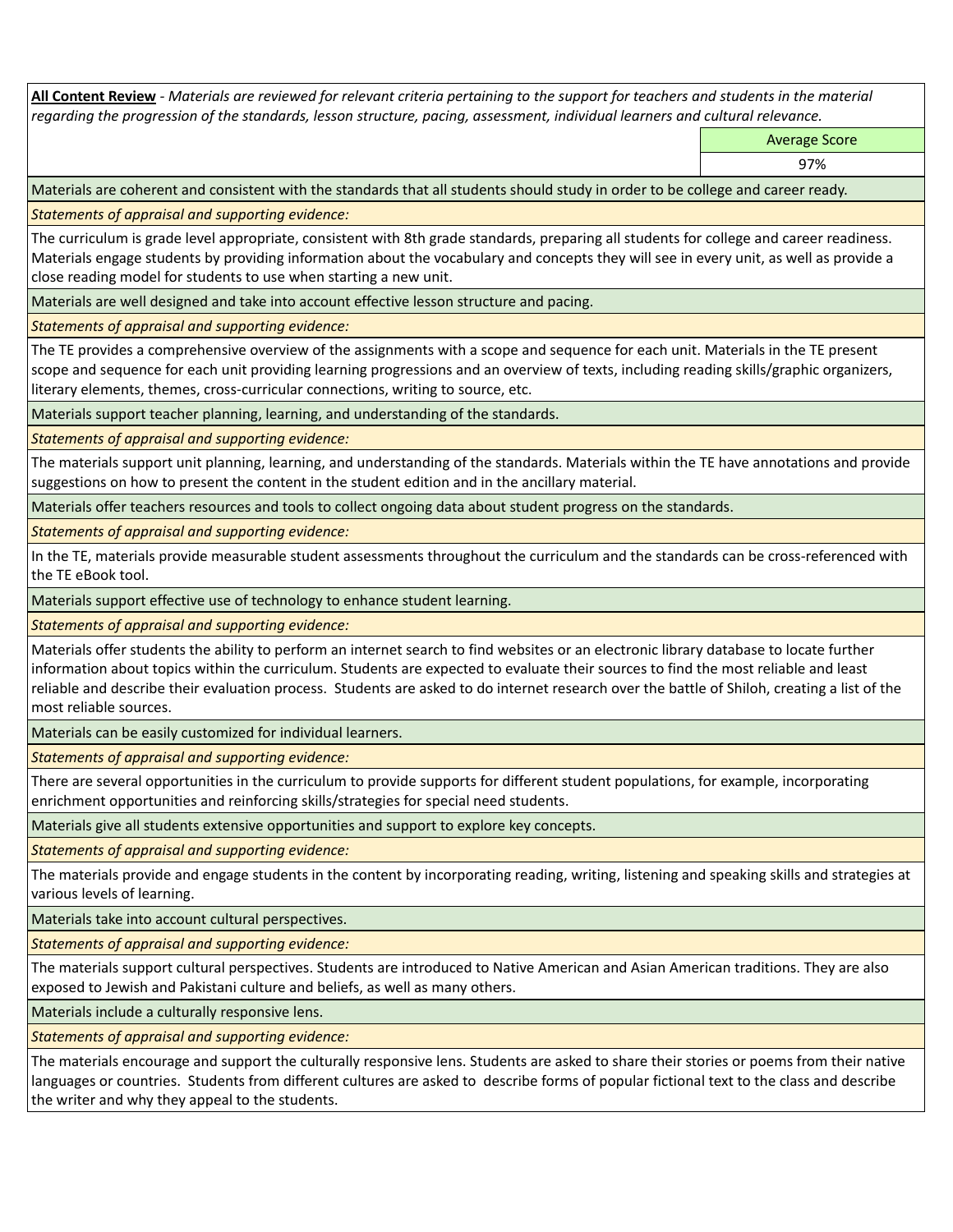**All Content Review** *- Materials are reviewed for relevant criteria pertaining to the support for teachers and students in the material regarding the progression of the standards, lesson structure, pacing, assessment, individual learners and cultural relevance.*

Average Score

97%

Materials are coherent and consistent with the standards that all students should study in order to be college and career ready.

*Statements of appraisal and supporting evidence:*

The curriculum is grade level appropriate, consistent with 8th grade standards, preparing all students for college and career readiness. Materials engage students by providing information about the vocabulary and concepts they will see in every unit, as well as provide a close reading model for students to use when starting a new unit.

Materials are well designed and take into account effective lesson structure and pacing.

*Statements of appraisal and supporting evidence:*

The TE provides a comprehensive overview of the assignments with a scope and sequence for each unit. Materials in the TE present scope and sequence for each unit providing learning progressions and an overview of texts, including reading skills/graphic organizers, literary elements, themes, cross-curricular connections, writing to source, etc.

Materials support teacher planning, learning, and understanding of the standards.

*Statements of appraisal and supporting evidence:*

The materials support unit planning, learning, and understanding of the standards. Materials within the TE have annotations and provide suggestions on how to present the content in the student edition and in the ancillary material.

Materials offer teachers resources and tools to collect ongoing data about student progress on the standards.

*Statements of appraisal and supporting evidence:*

In the TE, materials provide measurable student assessments throughout the curriculum and the standards can be cross-referenced with the TE eBook tool.

Materials support effective use of technology to enhance student learning.

*Statements of appraisal and supporting evidence:*

Materials offer students the ability to perform an internet search to find websites or an electronic library database to locate further information about topics within the curriculum. Students are expected to evaluate their sources to find the most reliable and least reliable and describe their evaluation process. Students are asked to do internet research over the battle of Shiloh, creating a list of the most reliable sources.

Materials can be easily customized for individual learners.

*Statements of appraisal and supporting evidence:* 

There are several opportunities in the curriculum to provide supports for different student populations, for example, incorporating enrichment opportunities and reinforcing skills/strategies for special need students.

Materials give all students extensive opportunities and support to explore key concepts.

*Statements of appraisal and supporting evidence:*

The materials provide and engage students in the content by incorporating reading, writing, listening and speaking skills and strategies at various levels of learning.

Materials take into account cultural perspectives.

*Statements of appraisal and supporting evidence:*

The materials support cultural perspectives. Students are introduced to Native American and Asian American traditions. They are also exposed to Jewish and Pakistani culture and beliefs, as well as many others.

Materials include a culturally responsive lens.

*Statements of appraisal and supporting evidence:*

The materials encourage and support the culturally responsive lens. Students are asked to share their stories or poems from their native languages or countries. Students from different cultures are asked to describe forms of popular fictional text to the class and describe the writer and why they appeal to the students.